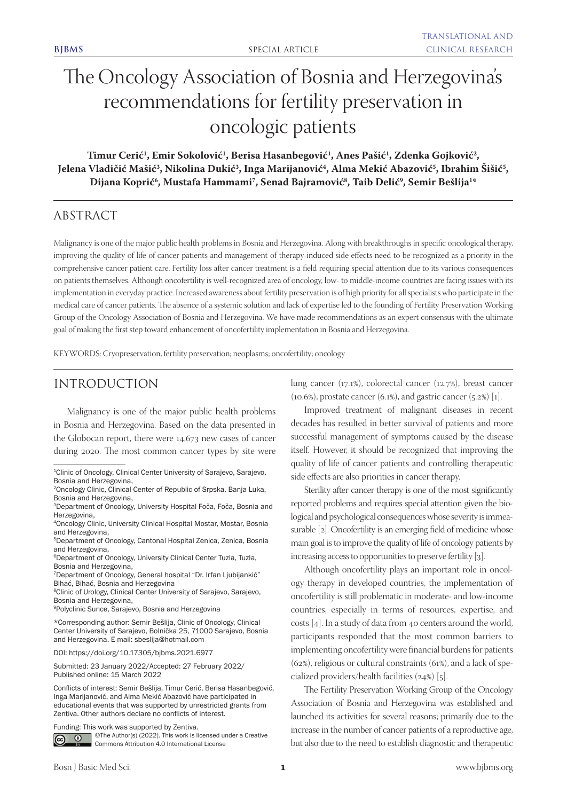# The Oncology Association of Bosnia and Herzegovina's recommendations for fertility preservation in oncologic patients

 $\text{Timur Cerić}^1$ , Emir Sokolović<sup>1</sup>, Berisa Hasanbegović<sup>1</sup>, Anes Pašić<sup>1</sup>, Zdenka Gojković<sup>2</sup>, Jelena Vladičić Mašić<sup>3</sup>, Nikolina Dukić<sup>3</sup>, Inga Marijanović<sup>4</sup>, Alma Mekić Abazović<sup>5</sup>, Ibrahim Sišić<sup>5</sup>, Dijana Koprić<sup>6</sup>, Mustafa Hammami<sup>7</sup>, Senad Bajramović<sup>8</sup>, Taib Delić<sup>9</sup>, Semir Bešlija<sup>1</sup>\*

# ABSTRACT

Malignancy is one of the major public health problems in Bosnia and Herzegovina. Along with breakthroughs in specific oncological therapy, improving the quality of life of cancer patients and management of therapy-induced side effects need to be recognized as a priority in the comprehensive cancer patient care. Fertility loss after cancer treatment is a field requiring special attention due to its various consequences on patients themselves. Although oncofertility is well-recognized area of oncology, low- to middle-income countries are facing issues with its implementation in everyday practice. Increased awareness about fertility preservation is of high priority for all specialists who participate in the medical care of cancer patients. The absence of a systemic solution and lack of expertise led to the founding of Fertility Preservation Working Group of the Oncology Association of Bosnia and Herzegovina. We have made recommendations as an expert consensus with the ultimate goal of making the first step toward enhancement of oncofertility implementation in Bosnia and Herzegovina.

KEYWORDS: Cryopreservation, fertility preservation; neoplasms; oncofertility; oncology

# INTRODUCTION

Malignancy is one of the major public health problems in Bosnia and Herzegovina. Based on the data presented in the Globocan report, there were 14,673 new cases of cancer during 2020. The most common cancer types by site were

8Clinic of Urology, Clinical Center University of Sarajevo, Sarajevo, Bosnia and Herzegovina,

DOI: https://doi.org/10.17305/bjbms.2021.6977

©The Author(s) (2022). This work is licensed under a Creative  $\odot$ Commons Attribution 4.0 International License

lung cancer (17.1%), colorectal cancer (12.7%), breast cancer  $(10.6%)$ , prostate cancer  $(6.1%)$ , and gastric cancer  $(5.2%)$  [1].

Improved treatment of malignant diseases in recent decades has resulted in better survival of patients and more successful management of symptoms caused by the disease itself. However, it should be recognized that improving the quality of life of cancer patients and controlling therapeutic side effects are also priorities in cancer therapy.

Sterility after cancer therapy is one of the most significantly reported problems and requires special attention given the biological and psychological consequences whose severity is immeasurable [2]. Oncofertility is an emerging field of medicine whose main goal is to improve the quality of life of oncology patients by increasing access to opportunities to preserve fertility [3].

Although oncofertility plays an important role in oncology therapy in developed countries, the implementation of oncofertility is still problematic in moderate- and low-income countries, especially in terms of resources, expertise, and costs [4]. In a study of data from 40 centers around the world, participants responded that the most common barriers to implementing oncofertility were financial burdens for patients (62%), religious or cultural constraints (61%), and a lack of specialized providers/health facilities (24%) [5].

The Fertility Preservation Working Group of the Oncology Association of Bosnia and Herzegovina was established and launched its activities for several reasons; primarily due to the increase in the number of cancer patients of a reproductive age, but also due to the need to establish diagnostic and therapeutic

<sup>&</sup>lt;sup>1</sup>Clinic of Oncology, Clinical Center University of Sarajevo, Sarajevo, Bosnia and Herzegovina,

<sup>2</sup>Oncology Clinic, Clinical Center of Republic of Srpska, Banja Luka, Bosnia and Herzegovina,

<sup>3</sup>Department of Oncology, University Hospital Foča, Foča, Bosnia and Herzegovina,

<sup>4</sup>Oncology Clinic, University Clinical Hospital Mostar, Mostar, Bosnia and Herzegovina,

<sup>5</sup>Department of Oncology, Cantonal Hospital Zenica, Zenica, Bosnia and Herzegovina,

<sup>6</sup>Department of Oncology, University Clinical Center Tuzla, Tuzla, Bosnia and Herzegovina,

<sup>7</sup>Department of Oncology, General hospital "Dr. Irfan Ljubijankić" Bihać, Bihać, Bosnia and Herzegovina

<sup>9</sup>Polyclinic Sunce, Sarajevo, Bosnia and Herzegovina

<sup>\*</sup>Corresponding author: Semir Bešlija, Clinic of Oncology, Clinical Center University of Sarajevo, Bolnička 25, 71000 Sarajevo, Bosnia and Herzegovina. E-mail: sbeslija@hotmail.com

Submitted: 23 January 2022/Accepted: 27 February 2022/ Published online: 15 March 2022

Conflicts of interest: Semir Bešlija, Timur Cerić, Berisa Hasanbegović, Inga Marijanović, and Alma Mekić Abazović have participated in educational events that was supported by unrestricted grants from Zentiva. Other authors declare no conflicts of interest.

Funding: This work was supported by Zentiva.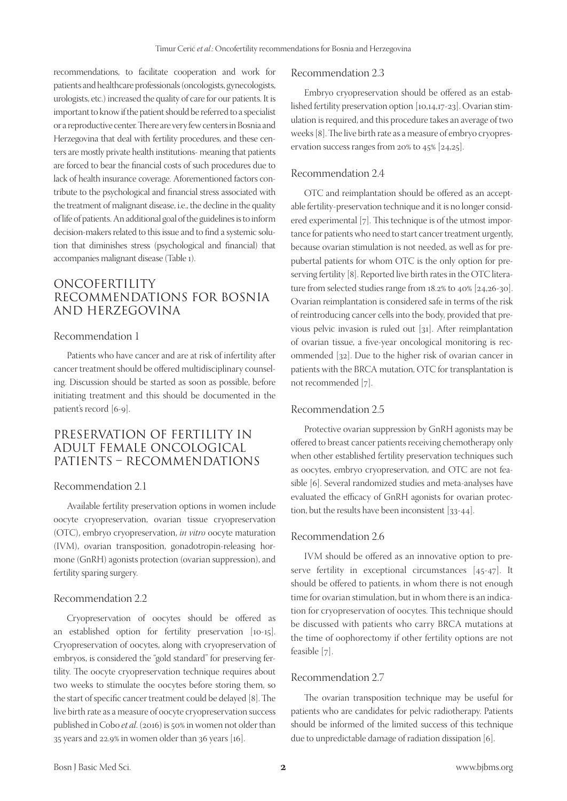recommendations, to facilitate cooperation and work for patients and healthcare professionals (oncologists, gynecologists, urologists, etc.) increased the quality of care for our patients. It is important to know if the patient should be referred to a specialist or a reproductive center. There are very few centers in Bosnia and Herzegovina that deal with fertility procedures, and these centers are mostly private health institutions- meaning that patients are forced to bear the financial costs of such procedures due to lack of health insurance coverage. Aforementioned factors contribute to the psychological and financial stress associated with the treatment of malignant disease, i.e., the decline in the quality of life of patients. An additional goal of the guidelines is to inform decision-makers related to this issue and to find a systemic solution that diminishes stress (psychological and financial) that accompanies malignant disease (Table 1).

## ONCOFERTILITY RECOMMENDATIONS FOR BOSNIA AND HERZEGOVINA

#### Recommendation 1

Patients who have cancer and are at risk of infertility after cancer treatment should be offered multidisciplinary counseling. Discussion should be started as soon as possible, before initiating treatment and this should be documented in the patient's record [6-9].

## PRESERVATION OF FERTILITY IN ADULT FEMALE ONCOLOGICAL PATIENTS – RECOMMENDATIONS

### Recommendation 2.1

Available fertility preservation options in women include oocyte cryopreservation, ovarian tissue cryopreservation (OTC), embryo cryopreservation, *in vitro* oocyte maturation (IVM), ovarian transposition, gonadotropin-releasing hormone (GnRH) agonists protection (ovarian suppression), and fertility sparing surgery.

#### Recommendation 2.2

Cryopreservation of oocytes should be offered as an established option for fertility preservation [10-15]. Cryopreservation of oocytes, along with cryopreservation of embryos, is considered the "gold standard" for preserving fertility. The oocyte cryopreservation technique requires about two weeks to stimulate the oocytes before storing them, so the start of specific cancer treatment could be delayed [8]. The live birth rate as a measure of oocyte cryopreservation success published in Cobo *et al*. (2016) is 50% in women not older than 35 years and 22.9% in women older than 36 years [16].

#### Recommendation 2.3

Embryo cryopreservation should be offered as an established fertility preservation option [10,14,17-23]. Ovarian stimulation is required, and this procedure takes an average of two weeks [8]. The live birth rate as a measure of embryo cryopreservation success ranges from 20% to 45% [24,25].

#### Recommendation 2.4

OTC and reimplantation should be offered as an acceptable fertility-preservation technique and it is no longer considered experimental [7]. This technique is of the utmost importance for patients who need to start cancer treatment urgently, because ovarian stimulation is not needed, as well as for prepubertal patients for whom OTC is the only option for preserving fertility [8]. Reported live birth rates in the OTC literature from selected studies range from 18.2% to 40% [24,26-30]. Ovarian reimplantation is considered safe in terms of the risk of reintroducing cancer cells into the body, provided that previous pelvic invasion is ruled out [31]. After reimplantation of ovarian tissue, a five-year oncological monitoring is recommended [32]. Due to the higher risk of ovarian cancer in patients with the BRCA mutation, OTC for transplantation is not recommended [7].

#### Recommendation 2.5

Protective ovarian suppression by GnRH agonists may be offered to breast cancer patients receiving chemotherapy only when other established fertility preservation techniques such as oocytes, embryo cryopreservation, and OTC are not feasible [6]. Several randomized studies and meta-analyses have evaluated the efficacy of GnRH agonists for ovarian protection, but the results have been inconsistent [33-44].

#### Recommendation 2.6

IVM should be offered as an innovative option to preserve fertility in exceptional circumstances [45-47]. It should be offered to patients, in whom there is not enough time for ovarian stimulation, but in whom there is an indication for cryopreservation of oocytes. This technique should be discussed with patients who carry BRCA mutations at the time of oophorectomy if other fertility options are not feasible [7].

#### Recommendation 2.7

The ovarian transposition technique may be useful for patients who are candidates for pelvic radiotherapy. Patients should be informed of the limited success of this technique due to unpredictable damage of radiation dissipation [6].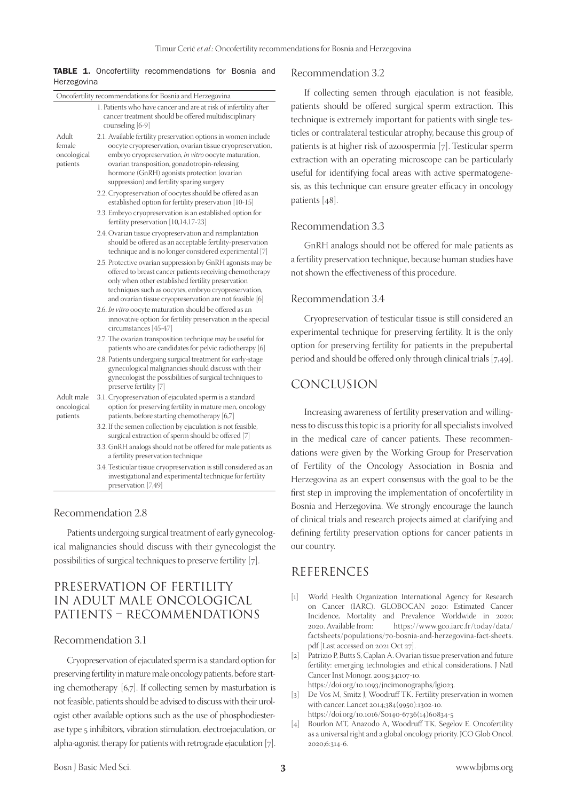|             |  |  | <b>TABLE 1.</b> Oncofertility recommendations for Bosnia and |  |  |
|-------------|--|--|--------------------------------------------------------------|--|--|
| Herzegovina |  |  |                                                              |  |  |

| Oncofertility recommendations for Bosnia and Herzegovina |                                                                                                                                                                                                                                                                                                                                   |  |  |
|----------------------------------------------------------|-----------------------------------------------------------------------------------------------------------------------------------------------------------------------------------------------------------------------------------------------------------------------------------------------------------------------------------|--|--|
|                                                          | 1. Patients who have cancer and are at risk of infertility after<br>cancer treatment should be offered multidisciplinary<br>counseling [6-9]                                                                                                                                                                                      |  |  |
| Adult<br>female<br>oncological<br>patients               | 2.1. Available fertility preservation options in women include<br>oocyte cryopreservation, ovarian tissue cryopreservation,<br>embryo cryopreservation, in vitro oocyte maturation,<br>ovarian transposition, gonadotropin-releasing<br>hormone (GnRH) agonists protection (ovarian<br>suppression) and fertility sparing surgery |  |  |
|                                                          | 2.2. Cryopreservation of oocytes should be offered as an<br>established option for fertility preservation [10-15]                                                                                                                                                                                                                 |  |  |
|                                                          | 2.3. Embryo cryopreservation is an established option for<br>fertility preservation [10,14,17-23]                                                                                                                                                                                                                                 |  |  |
|                                                          | 2.4. Ovarian tissue cryopreservation and reimplantation<br>should be offered as an acceptable fertility-preservation<br>technique and is no longer considered experimental [7]                                                                                                                                                    |  |  |
|                                                          | 2.5. Protective ovarian suppression by GnRH agonists may be<br>offered to breast cancer patients receiving chemotherapy<br>only when other established fertility preservation<br>techniques such as oocytes, embryo cryopreservation,<br>and ovarian tissue cryopreservation are not feasible [6]                                 |  |  |
|                                                          | 2.6. In vitro oocyte maturation should be offered as an<br>innovative option for fertility preservation in the special<br>circumstances [45-47]                                                                                                                                                                                   |  |  |
|                                                          | 2.7. The ovarian transposition technique may be useful for<br>patients who are candidates for pelvic radiotherapy [6]                                                                                                                                                                                                             |  |  |
|                                                          | 2.8. Patients undergoing surgical treatment for early-stage<br>gynecological malignancies should discuss with their<br>gynecologist the possibilities of surgical techniques to<br>preserve fertility [7]                                                                                                                         |  |  |
| Adult male<br>oncological<br>patients                    | 3.1. Cryopreservation of ejaculated sperm is a standard<br>option for preserving fertility in mature men, oncology<br>patients, before starting chemotherapy [6,7]                                                                                                                                                                |  |  |
|                                                          | 3.2. If the semen collection by ejaculation is not feasible,<br>surgical extraction of sperm should be offered [7]                                                                                                                                                                                                                |  |  |
|                                                          | 3.3. GnRH analogs should not be offered for male patients as<br>a fertility preservation technique                                                                                                                                                                                                                                |  |  |
|                                                          | 3.4. Testicular tissue cryopreservation is still considered as an<br>investigational and experimental technique for fertility<br>preservation [7,49]                                                                                                                                                                              |  |  |
|                                                          |                                                                                                                                                                                                                                                                                                                                   |  |  |

#### Recommendation 2.8

Patients undergoing surgical treatment of early gynecological malignancies should discuss with their gynecologist the possibilities of surgical techniques to preserve fertility [7].

# PRESERVATION OF FERTILITY IN ADULT MALE ONCOLOGICAL PATIENTS – RECOMMENDATIONS

#### Recommendation 3.1

Cryopreservation of ejaculated sperm is a standard option for preserving fertility in mature male oncology patients, before starting chemotherapy [6,7]. If collecting semen by masturbation is not feasible, patients should be advised to discuss with their urologist other available options such as the use of phosphodiesterase type 5 inhibitors, vibration stimulation, electroejaculation, or alpha-agonist therapy for patients with retrograde ejaculation. [7].

#### Recommendation 3.2

If collecting semen through ejaculation is not feasible, patients should be offered surgical sperm extraction. This technique is extremely important for patients with single testicles or contralateral testicular atrophy, because this group of patients is at higher risk of azoospermia [7]. Testicular sperm extraction with an operating microscope can be particularly useful for identifying focal areas with active spermatogenesis, as this technique can ensure greater efficacy in oncology patients [48].

#### Recommendation 3.3

GnRH analogs should not be offered for male patients as a fertility preservation technique, because human studies have not shown the effectiveness of this procedure.

## Recommendation 3.4

Cryopreservation of testicular tissue is still considered an experimental technique for preserving fertility. It is the only option for preserving fertility for patients in the prepubertal period and should be offered only through clinical trials [7,49].

## CONCLUSION

Increasing awareness of fertility preservation and willingness to discuss this topic is a priority for all specialists involved in the medical care of cancer patients. These recommendations were given by the Working Group for Preservation of Fertility of the Oncology Association in Bosnia and Herzegovina as an expert consensus with the goal to be the first step in improving the implementation of oncofertility in Bosnia and Herzegovina. We strongly encourage the launch of clinical trials and research projects aimed at clarifying and defining fertility preservation options for cancer patients in our country.

## REFERENCES

- [1] World Health Organization International Agency for Research on Cancer (IARC). GLOBOCAN 2020: Estimated Cancer Incidence, Mortality and Prevalence Worldwide in 2020; 2020. Available from: https://www.gco.iarc.fr/today/data/ factsheets/populations/70-bosnia-and-herzegovina-fact-sheets. pdf [Last accessed on 2021 Oct 27].
- [2] Patrizio P, Butts S, Caplan A. Ovarian tissue preservation and future fertility: emerging technologies and ethical considerations. J Natl Cancer Inst Monogr. 2005;34:107-10. https://doi.org/10.1093/jncimonographs/lgi023.
- [3] De Vos M, Smitz J, Woodruff TK. Fertility preservation in women with cancer. Lancet 2014;384(9950):1302-10.
- [https://doi.org/10.1016/S0140-6736\(14\)60834-5](https://doi.org/10.1016/S0140-6736(14)60834-5)
- [4] Bourlon MT, Anazodo A, Woodruff TK, Segelov E. Oncofertility as a universal right and a global oncology priority. JCO Glob Oncol. 2020;6:314-6.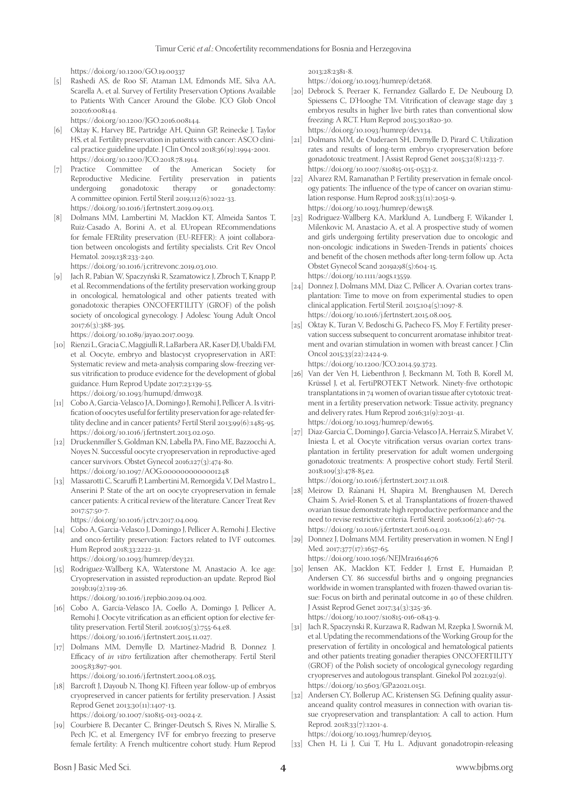https://doi.org/10.1200/GO.19.00337

[5] Rashedi AS, de Roo SF, Ataman LM, Edmonds ME, Silva AA, Scarella A, et al. Survey of Fertility Preservation Options Available to Patients With Cancer Around the Globe. JCO Glob Oncol 2020;6:008144.

https://doi.org/10.1200/JGO.2016.008144.

- [6] Oktay K, Harvey BE, Partridge AH, Quinn GP, Reinecke J, Taylor HS, et al. Fertility preservation in patients with cancer: ASCO clinical practice guideline update. J Clin Oncol 2018;36(19):1994-2001. https://doi.org/10.1200/JCO.2018.78.1914.
- [7] Practice Committee of the American Society for Reproductive Medicine. Fertility preservation in patients undergoing gonadotoxic therapy or gonadectomy: A committee opinion. Fertil Steril 2019;112(6):1022-33. https://doi.org/10.1016/j.fertnstert.2019.09.013.
- [8] Dolmans MM, Lambertini M, Macklon KT, Almeida Santos T, Ruiz-Casado A, Borini A, et al. EUropean REcommendations for female FERtility preservation (EU-REFER): A joint collaboration between oncologists and fertility specialists. Crit Rev Oncol Hematol. 2019;138:233-240.

https://doi.org/10.1016/j.critrevonc.2019.03.010.

[9] Jach R, Pabian W, Spaczyński R, Szamatowicz J, Zbroch T, Knapp P, et al. Recommendations of the fertility preservation working group in oncological, hematological and other patients treated with gonadotoxic therapies ONCOFERTILITY (GROF) of the polish society of oncological gynecology. J Adolesc Young Adult Oncol 2017;6(3):388-395.

https://doi.org/10.1089/jayao.2017.0039.

- [10] Rienzi L, Gracia C, Maggiulli R, LaBarbera AR, Kaser DJ, Ubaldi FM, et al. Oocyte, embryo and blastocyst cryopreservation in ART: Systematic review and meta-analysis comparing slow-freezing versus vitrification to produce evidence for the development of global guidance. Hum Reprod Update 2017;23:139-55. https://doi.org/10.1093/humupd/dmw038.
- [11] Cobo A, Garcia-Velasco JA, Domingo J, Remohi J, Pellicer A. Is vitrification of oocytes useful for fertility preservation for age-related fertility decline and in cancer patients? Fertil Steril 2013;99(6):1485-95. https://doi.org/10.1016/j.fertnstert.2013.02.050.
- [12] Druckenmiller S, Goldman KN, Labella PA, Fino ME, Bazzocchi A, Noyes N. Successful oocyte cryopreservation in reproductive-aged cancer survivors. Obstet Gynecol 2016;127(3):474-80. https://doi.org/10.1097/AOG.0000000000001248
- [13] Massarotti C, Scaruffi P, Lambertini M, Remorgida V, Del Mastro L, Anserini P. State of the art on oocyte cryopreservation in female cancer patients: A critical review of the literature. Cancer Treat Rev 2017;57:50-7.

https://doi.org/10.1016/j.ctrv.2017.04.009.

- [14] Cobo A, Garcia-Velasco J, Domingo J, Pellicer A, Remohi J. Elective and onco-fertility preservation: Factors related to IVF outcomes. Hum Reprod 2018;33:2222-31. https://doi.org/10.1093/humrep/dey321.
- [15] Rodriguez-Wallberg KA, Waterstone M, Anastacio A. Ice age: Cryopreservation in assisted reproduction-an update. Reprod Biol 2019b;19(2):119-26.

https://doi.org/10.1016/j.repbio.2019.04.002.

- [16] Cobo A, García-Velasco JA, Coello A, Domingo J, Pellicer A, Remohí J. Oocyte vitrification as an efficient option for elective fertility preservation. Fertil Steril. 2016;105(3):755-64.e8. https://doi.org/10.1016/j.fertnstert.2015.11.027.
- [17] Dolmans MM, Demylle D, Martinez-Madrid B, Donnez J. Efficacy of *in vitro* fertilization after chemotherapy. Fertil Steril 2005;83:897-901.

https://doi.org/10.1016/j.fertnstert.2004.08.035.

- [18] Barcroft J, Dayoub N, Thong KJ. Fifteen year follow-up of embryos cryopreserved in cancer patients for fertility preservation. J Assist Reprod Genet 2013;30(11):1407-13. https://doi.org/10.1007/s10815-013-0024-z.
- [19] Courbiere B, Decanter C, Bringer-Deutsch S, Rives N, Mirallie S, Pech JC, et al. Emergency IVF for embryo freezing to preserve female fertility: A French multicentre cohort study. Hum Reprod

2013;28:2381-8.

https://doi.org/10.1093/humrep/det268.

- [20] Debrock S, Peeraer K, Fernandez Gallardo E, De Neubourg D, Spiessens C, D'Hooghe TM. Vitrification of cleavage stage day 3 embryos results in higher live birth rates than conventional slow freezing: A RCT. Hum Reprod 2015;30:1820-30. https://doi.org/10.1093/humrep/dev134.
- [21] Dolmans MM, de Ouderaen SH, Demylle D, Pirard C. Utilization rates and results of long-term embryo cryopreservation before gonadotoxic treatment. J Assist Reprod Genet 2015;32(8):1233-7. https://doi.org/10.1007/s10815-015-0533-z.
- [22] Alvarez RM, Ramanathan P. Fertility preservation in female oncology patients: The influence of the type of cancer on ovarian stimulation response. Hum Reprod 2018;33(11):2051-9. https://doi.org/10.1093/humrep/dew158.
- [23] Rodriguez-Wallberg KA, Marklund A, Lundberg F, Wikander I, Milenkovic M, Anastacio A, et al. A prospective study of women and girls undergoing fertility preservation due to oncologic and non-oncologic indications in Sweden-Trends in patients' choices and benefit of the chosen methods after long-term follow up. Acta Obstet Gynecol Scand 2019a;98(5):604-15. https://doi.org/10.1111/aogs.13559.
- [24] Donnez J, Dolmans MM, Diaz C, Pellicer A. Ovarian cortex transplantation: Time to move on from experimental studies to open clinical application. Fertil Steril. 2015;104(5):1097-8. https://doi.org/10.1016/j.fertnstert.2015.08.005.
- [25] Oktay K, Turan V, Bedoschi G, Pacheco FS, Moy F. Fertility preservation success subsequent to concurrent aromatase inhibitor treatment and ovarian stimulation in women with breast cancer. J Clin Oncol 2015;33(22):2424-9.

https://doi.org/10.1200/JCO.2014.59.3723.

- [26] Van der Ven H, Liebenthron J, Beckmann M, Toth B, Korell M, Krüssel J, et al, FertiPROTEKT Network. Ninety-five orthotopic transplantations in 74 women of ovarian tissue after cytotoxic treatment in a fertility preservation network: Tissue activity, pregnancy and delivery rates. Hum Reprod 2016;31(9):2031-41. https://doi.org/10.1093/humrep/dew165.
- [27] Diaz-Garcia C, Domingo J, Garcia-Velasco JA, Herraiz S, Mirabet V, Iniesta I, et al. Oocyte vitrification versus ovarian cortex transplantation in fertility preservation for adult women undergoing gonadotoxic treatments: A prospective cohort study. Fertil Steril. 2018;109(3):478-85.e2.

https://doi.org/10.1016/j.fertnstert.2017.11.018.

- [28] Meirow D, Ra'anani H, Shapira M, Brenghausen M, Derech Chaim S, Aviel-Ronen S, et al. Transplantations of frozen-thawed ovarian tissue demonstrate high reproductive performance and the need to revise restrictive criteria. Fertil Steril. 2016;106(2):467-74. https://doi.org/10.1016/j.fertnstert.2016.04.031.
- [29] Donnez J, Dolmans MM. Fertility preservation in women. N Engl J Med. 2017;377(17):1657-65.

https://doi.org/1010.1056/NEJMra1614676

[30] Jensen AK, Macklon KT, Fedder J, Ernst E, Humaidan P, Andersen CY. 86 successful births and 9 ongoing pregnancies worldwide in women transplanted with frozen-thawed ovarian tissue: Focus on birth and perinatal outcome in 40 of these children. J Assist Reprod Genet 2017;34(3):325-36.

https://doi.org/10.1007/s10815-016-0843-9.

- [31] Jach R, Spaczynski R, Kurzawa R, Radwan M, Rzepka J, Swornik M, et al. Updating the recommendations of the Working Group for the preservation of fertility in oncological and hematological patients and other patients treating gonadier therapies ONCOFERTILITY (GROF) of the Polish society of oncological gynecology regarding cryopreserves and autologous transplant. Ginekol Pol 2021;92(9). https://doi.org/10.5603/GP.a2021.0151.
- [32] Andersen CY, Bollerup AC, Kristensen SG. Defining quality assuranceand quality control measures in connection with ovarian tissue cryopreservation and transplantation: A call to action. Hum Reprod. 2018;33(7):1201-4.

https://doi.org/10.1093/humrep/dey105.

[33] Chen H, Li J, Cui T, Hu L. Adjuvant gonadotropin-releasing